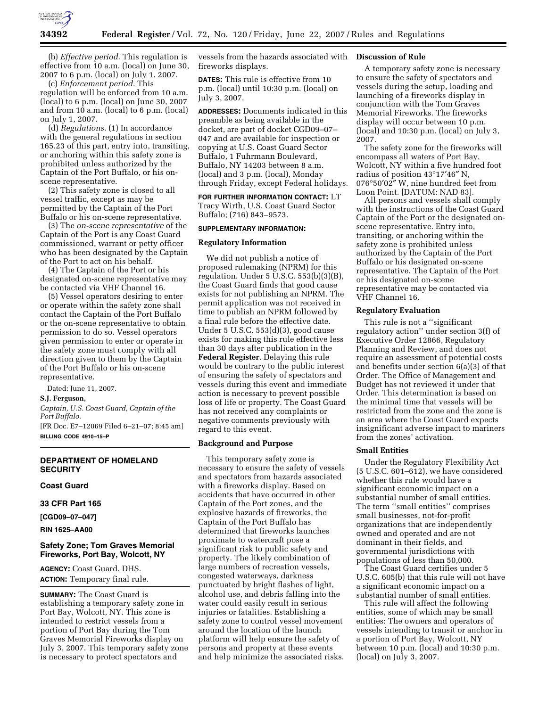

(b) *Effective period.* This regulation is effective from 10 a.m. (local) on June 30, 2007 to 6 p.m. (local) on July 1, 2007.

(c) *Enforcement period.* This regulation will be enforced from 10 a.m. (local) to 6 p.m. (local) on June 30, 2007 and from 10 a.m. (local) to 6 p.m. (local) on July 1, 2007.

(d) *Regulations.* (1) In accordance with the general regulations in section 165.23 of this part, entry into, transiting, or anchoring within this safety zone is prohibited unless authorized by the Captain of the Port Buffalo, or his onscene representative.

(2) This safety zone is closed to all vessel traffic, except as may be permitted by the Captain of the Port Buffalo or his on-scene representative.

(3) The *on-scene representative* of the Captain of the Port is any Coast Guard commissioned, warrant or petty officer who has been designated by the Captain of the Port to act on his behalf.

(4) The Captain of the Port or his designated on-scene representative may be contacted via VHF Channel 16.

(5) Vessel operators desiring to enter or operate within the safety zone shall contact the Captain of the Port Buffalo or the on-scene representative to obtain permission to do so. Vessel operators given permission to enter or operate in the safety zone must comply with all direction given to them by the Captain of the Port Buffalo or his on-scene representative.

Dated: June 11, 2007.

### **S.J. Ferguson,**

*Captain, U.S. Coast Guard, Captain of the Port Buffalo.* 

[FR Doc. E7–12069 Filed 6–21–07; 8:45 am] **BILLING CODE 4910–15–P** 

### **DEPARTMENT OF HOMELAND SECURITY**

**Coast Guard** 

## **33 CFR Part 165**

**[CGD09–07–047]** 

**RIN 1625–AA00** 

## **Safety Zone; Tom Graves Memorial Fireworks, Port Bay, Wolcott, NY**

**AGENCY:** Coast Guard, DHS. **ACTION:** Temporary final rule.

**SUMMARY:** The Coast Guard is establishing a temporary safety zone in Port Bay, Wolcott, NY. This zone is intended to restrict vessels from a portion of Port Bay during the Tom Graves Memorial Fireworks display on July 3, 2007. This temporary safety zone is necessary to protect spectators and

vessels from the hazards associated with fireworks displays.

**DATES:** This rule is effective from 10 p.m. (local) until 10:30 p.m. (local) on July 3, 2007.

**ADDRESSES:** Documents indicated in this preamble as being available in the docket, are part of docket CGD09–07– 047 and are available for inspection or copying at U.S. Coast Guard Sector Buffalo, 1 Fuhrmann Boulevard, Buffalo, NY 14203 between 8 a.m. (local) and 3 p.m. (local), Monday through Friday, except Federal holidays.

**FOR FURTHER INFORMATION CONTACT:** LT Tracy Wirth, U.S. Coast Guard Sector Buffalo; (716) 843–9573.

## **SUPPLEMENTARY INFORMATION:**

## **Regulatory Information**

We did not publish a notice of proposed rulemaking (NPRM) for this regulation. Under 5 U.S.C. 553(b)(3)(B), the Coast Guard finds that good cause exists for not publishing an NPRM. The permit application was not received in time to publish an NPRM followed by a final rule before the effective date. Under 5 U.S.C. 553(d)(3), good cause exists for making this rule effective less than 30 days after publication in the **Federal Register**. Delaying this rule would be contrary to the public interest of ensuring the safety of spectators and vessels during this event and immediate action is necessary to prevent possible loss of life or property. The Coast Guard has not received any complaints or negative comments previously with regard to this event.

### **Background and Purpose**

This temporary safety zone is necessary to ensure the safety of vessels and spectators from hazards associated with a fireworks display. Based on accidents that have occurred in other Captain of the Port zones, and the explosive hazards of fireworks, the Captain of the Port Buffalo has determined that fireworks launches proximate to watercraft pose a significant risk to public safety and property. The likely combination of large numbers of recreation vessels, congested waterways, darkness punctuated by bright flashes of light, alcohol use, and debris falling into the water could easily result in serious injuries or fatalities. Establishing a safety zone to control vessel movement around the location of the launch platform will help ensure the safety of persons and property at these events and help minimize the associated risks.

### **Discussion of Rule**

A temporary safety zone is necessary to ensure the safety of spectators and vessels during the setup, loading and launching of a fireworks display in conjunction with the Tom Graves Memorial Fireworks. The fireworks display will occur between 10 p.m. (local) and 10:30 p.m. (local) on July 3, 2007.

The safety zone for the fireworks will encompass all waters of Port Bay, Wolcott, NY within a five hundred foot radius of position 43°17′46″ N, 076°50′02″ W, nine hundred feet from Loon Point. [DATUM: NAD 83].

All persons and vessels shall comply with the instructions of the Coast Guard Captain of the Port or the designated onscene representative. Entry into, transiting, or anchoring within the safety zone is prohibited unless authorized by the Captain of the Port Buffalo or his designated on-scene representative. The Captain of the Port or his designated on-scene representative may be contacted via VHF Channel 16.

### **Regulatory Evaluation**

This rule is not a ''significant regulatory action'' under section 3(f) of Executive Order 12866, Regulatory Planning and Review, and does not require an assessment of potential costs and benefits under section 6(a)(3) of that Order. The Office of Management and Budget has not reviewed it under that Order. This determination is based on the minimal time that vessels will be restricted from the zone and the zone is an area where the Coast Guard expects insignificant adverse impact to mariners from the zones' activation.

#### **Small Entities**

Under the Regulatory Flexibility Act (5 U.S.C. 601–612), we have considered whether this rule would have a significant economic impact on a substantial number of small entities. The term ''small entities'' comprises small businesses, not-for-profit organizations that are independently owned and operated and are not dominant in their fields, and governmental jurisdictions with populations of less than 50,000.

The Coast Guard certifies under 5 U.S.C. 605(b) that this rule will not have a significant economic impact on a substantial number of small entities.

This rule will affect the following entities, some of which may be small entities: The owners and operators of vessels intending to transit or anchor in a portion of Port Bay, Wolcott, NY between 10 p.m. (local) and 10:30 p.m. (local) on July 3, 2007.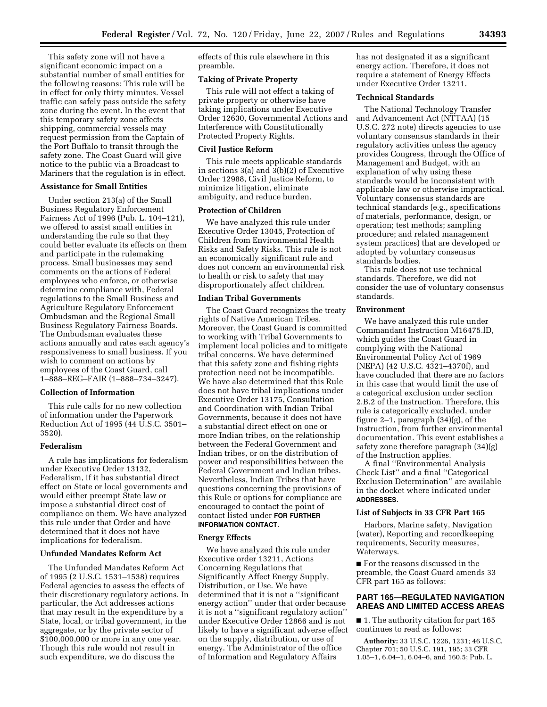This safety zone will not have a significant economic impact on a substantial number of small entities for the following reasons: This rule will be in effect for only thirty minutes. Vessel traffic can safely pass outside the safety zone during the event. In the event that this temporary safety zone affects shipping, commercial vessels may request permission from the Captain of the Port Buffalo to transit through the safety zone. The Coast Guard will give notice to the public via a Broadcast to Mariners that the regulation is in effect.

### **Assistance for Small Entities**

Under section 213(a) of the Small Business Regulatory Enforcement Fairness Act of 1996 (Pub. L. 104–121), we offered to assist small entities in understanding the rule so that they could better evaluate its effects on them and participate in the rulemaking process. Small businesses may send comments on the actions of Federal employees who enforce, or otherwise determine compliance with, Federal regulations to the Small Business and Agriculture Regulatory Enforcement Ombudsman and the Regional Small Business Regulatory Fairness Boards. The Ombudsman evaluates these actions annually and rates each agency's responsiveness to small business. If you wish to comment on actions by employees of the Coast Guard, call 1–888–REG–FAIR (1–888–734–3247).

### **Collection of Information**

This rule calls for no new collection of information under the Paperwork Reduction Act of 1995 (44 U.S.C. 3501– 3520).

### **Federalism**

A rule has implications for federalism under Executive Order 13132, Federalism, if it has substantial direct effect on State or local governments and would either preempt State law or impose a substantial direct cost of compliance on them. We have analyzed this rule under that Order and have determined that it does not have implications for federalism.

## **Unfunded Mandates Reform Act**

The Unfunded Mandates Reform Act of 1995 (2 U.S.C. 1531–1538) requires Federal agencies to assess the effects of their discretionary regulatory actions. In particular, the Act addresses actions that may result in the expenditure by a State, local, or tribal government, in the aggregate, or by the private sector of \$100,000,000 or more in any one year. Though this rule would not result in such expenditure, we do discuss the

effects of this rule elsewhere in this preamble.

### **Taking of Private Property**

This rule will not effect a taking of private property or otherwise have taking implications under Executive Order 12630, Governmental Actions and Interference with Constitutionally Protected Property Rights.

### **Civil Justice Reform**

This rule meets applicable standards in sections 3(a) and 3(b)(2) of Executive Order 12988, Civil Justice Reform, to minimize litigation, eliminate ambiguity, and reduce burden.

# **Protection of Children**

We have analyzed this rule under Executive Order 13045, Protection of Children from Environmental Health Risks and Safety Risks. This rule is not an economically significant rule and does not concern an environmental risk to health or risk to safety that may disproportionately affect children.

### **Indian Tribal Governments**

The Coast Guard recognizes the treaty rights of Native American Tribes. Moreover, the Coast Guard is committed to working with Tribal Governments to implement local policies and to mitigate tribal concerns. We have determined that this safety zone and fishing rights protection need not be incompatible. We have also determined that this Rule does not have tribal implications under Executive Order 13175, Consultation and Coordination with Indian Tribal Governments, because it does not have a substantial direct effect on one or more Indian tribes, on the relationship between the Federal Government and Indian tribes, or on the distribution of power and responsibilities between the Federal Government and Indian tribes. Nevertheless, Indian Tribes that have questions concerning the provisions of this Rule or options for compliance are encouraged to contact the point of contact listed under **FOR FURTHER INFORMATION CONTACT**.

#### **Energy Effects**

We have analyzed this rule under Executive order 13211, Actions Concerning Regulations that Significantly Affect Energy Supply, Distribution, or Use. We have determined that it is not a ''significant energy action'' under that order because it is not a ''significant regulatory action'' under Executive Order 12866 and is not likely to have a significant adverse effect on the supply, distribution, or use of energy. The Administrator of the office of Information and Regulatory Affairs

has not designated it as a significant energy action. Therefore, it does not require a statement of Energy Effects under Executive Order 13211.

## **Technical Standards**

The National Technology Transfer and Advancement Act (NTTAA) (15 U.S.C. 272 note) directs agencies to use voluntary consensus standards in their regulatory activities unless the agency provides Congress, through the Office of Management and Budget, with an explanation of why using these standards would be inconsistent with applicable law or otherwise impractical. Voluntary consensus standards are technical standards (e.g., specifications of materials, performance, design, or operation; test methods; sampling procedure; and related management system practices) that are developed or adopted by voluntary consensus standards bodies.

This rule does not use technical standards. Therefore, we did not consider the use of voluntary consensus standards.

## **Environment**

We have analyzed this rule under Commandant Instruction M16475.lD, which guides the Coast Guard in complying with the National Environmental Policy Act of 1969 (NEPA) (42 U.S.C. 4321–4370f), and have concluded that there are no factors in this case that would limit the use of a categorical exclusion under section 2.B.2 of the Instruction. Therefore, this rule is categorically excluded, under figure 2–1, paragraph (34)(g), of the Instruction, from further environmental documentation. This event establishes a safety zone therefore paragraph (34)(g) of the Instruction applies.

A final ''Environmental Analysis Check List'' and a final ''Categorical Exclusion Determination'' are available in the docket where indicated under **ADDRESSES**.

#### **List of Subjects in 33 CFR Part 165**

Harbors, Marine safety, Navigation (water), Reporting and recordkeeping requirements, Security measures, Waterways.

■ For the reasons discussed in the preamble, the Coast Guard amends 33 CFR part 165 as follows:

## **PART 165—REGULATED NAVIGATION AREAS AND LIMITED ACCESS AREAS**

■ 1. The authority citation for part 165 continues to read as follows:

**Authority:** 33 U.S.C. 1226, 1231; 46 U.S.C. Chapter 701; 50 U.S.C. 191, 195; 33 CFR 1.05–1, 6.04–1, 6.04–6, and 160.5; Pub. L.